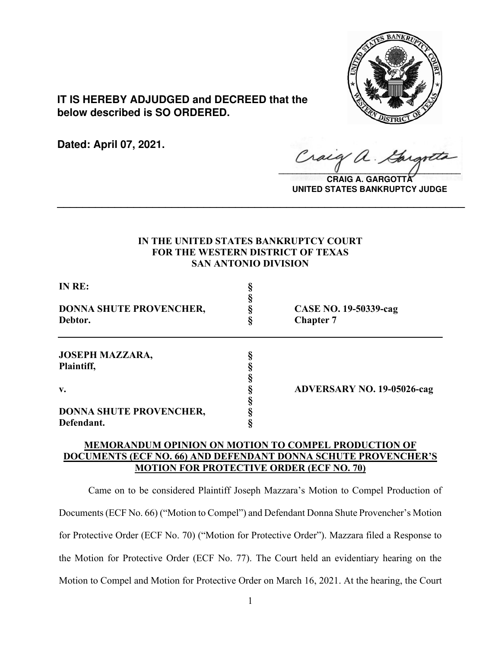

**IT IS HEREBY ADJUDGED and DECREED that the below described is SO ORDERED.**

**Dated: April 07, 2021.**

 $\sqrt{2}$ 

**CRAIG A. GARGOTTA UNITED STATES BANKRUPTCY JUDGE**

# **IN THE UNITED STATES BANKRUPTCY COURT FOR THE WESTERN DISTRICT OF TEXAS SAN ANTONIO DIVISION**

**\_\_\_\_\_\_\_\_\_\_\_\_\_\_\_\_\_\_\_\_\_\_\_\_\_\_\_\_\_\_\_\_\_\_\_\_\_\_\_\_\_\_\_\_\_\_\_\_\_\_\_\_\_\_\_\_\_\_\_\_\_\_\_\_**

| IN RE:                                       |                                           |
|----------------------------------------------|-------------------------------------------|
| DONNA SHUTE PROVENCHER,<br>Debtor.           | CASE NO. 19-50339-cag<br><b>Chapter 7</b> |
| <b>JOSEPH MAZZARA,</b>                       |                                           |
| Plaintiff,                                   |                                           |
| $\mathbf{v}$ .                               | <b>ADVERSARY NO. 19-05026-cag</b>         |
| <b>DONNA SHUTE PROVENCHER,</b><br>Defendant. |                                           |

# **MEMORANDUM OPINION ON MOTION TO COMPEL PRODUCTION OF DOCUMENTS (ECF NO. 66) AND DEFENDANT DONNA SCHUTE PROVENCHER'S MOTION FOR PROTECTIVE ORDER (ECF NO. 70)**

Came on to be considered Plaintiff Joseph Mazzara's Motion to Compel Production of Documents (ECF No. 66) ("Motion to Compel") and Defendant Donna Shute Provencher's Motion for Protective Order (ECF No. 70) ("Motion for Protective Order"). Mazzara filed a Response to the Motion for Protective Order (ECF No. 77). The Court held an evidentiary hearing on the Motion to Compel and Motion for Protective Order on March 16, 2021. At the hearing, the Court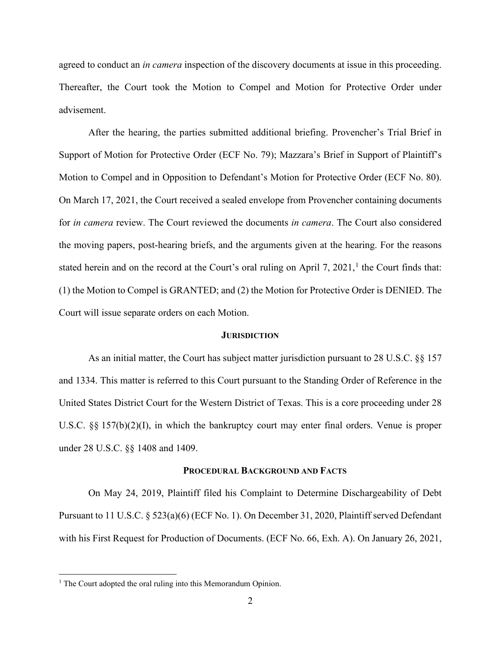agreed to conduct an *in camera* inspection of the discovery documents at issue in this proceeding. Thereafter, the Court took the Motion to Compel and Motion for Protective Order under advisement.

After the hearing, the parties submitted additional briefing. Provencher's Trial Brief in Support of Motion for Protective Order (ECF No. 79); Mazzara's Brief in Support of Plaintiff's Motion to Compel and in Opposition to Defendant's Motion for Protective Order (ECF No. 80). On March 17, 2021, the Court received a sealed envelope from Provencher containing documents for *in camera* review. The Court reviewed the documents *in camera*. The Court also considered the moving papers, post-hearing briefs, and the arguments given at the hearing. For the reasons stated herein and on the record at the Court's oral ruling on April 7, 202[1](#page-1-0),<sup>1</sup> the Court finds that: (1) the Motion to Compel is GRANTED; and (2) the Motion for Protective Order is DENIED. The Court will issue separate orders on each Motion.

### **JURISDICTION**

As an initial matter, the Court has subject matter jurisdiction pursuant to 28 U.S.C. §§ 157 and 1334. This matter is referred to this Court pursuant to the Standing Order of Reference in the United States District Court for the Western District of Texas. This is a core proceeding under 28 U.S.C. §§ 157(b)(2)(I), in which the bankruptcy court may enter final orders. Venue is proper under 28 U.S.C. §§ 1408 and 1409.

#### **PROCEDURAL BACKGROUND AND FACTS**

On May 24, 2019, Plaintiff filed his Complaint to Determine Dischargeability of Debt Pursuant to 11 U.S.C. § 523(a)(6) (ECF No. 1). On December 31, 2020, Plaintiff served Defendant with his First Request for Production of Documents. (ECF No. 66, Exh. A). On January 26, 2021,

<span id="page-1-0"></span><sup>&</sup>lt;sup>1</sup> The Court adopted the oral ruling into this Memorandum Opinion.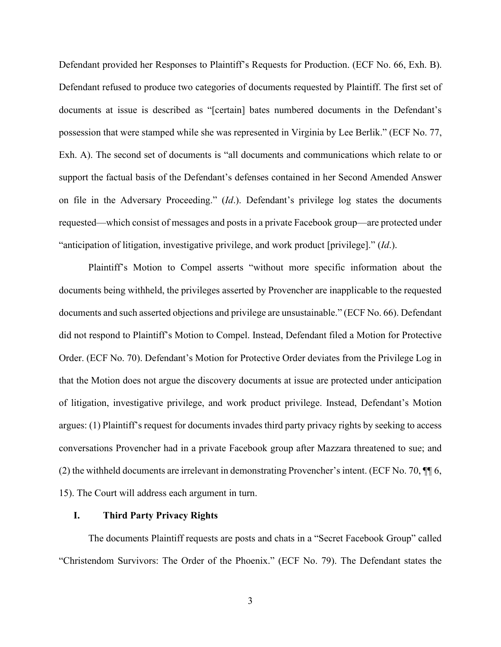Defendant provided her Responses to Plaintiff's Requests for Production. (ECF No. 66, Exh. B). Defendant refused to produce two categories of documents requested by Plaintiff. The first set of documents at issue is described as "[certain] bates numbered documents in the Defendant's possession that were stamped while she was represented in Virginia by Lee Berlik." (ECF No. 77, Exh. A). The second set of documents is "all documents and communications which relate to or support the factual basis of the Defendant's defenses contained in her Second Amended Answer on file in the Adversary Proceeding." (*Id*.). Defendant's privilege log states the documents requested—which consist of messages and posts in a private Facebook group—are protected under "anticipation of litigation, investigative privilege, and work product [privilege]." (*Id*.).

Plaintiff's Motion to Compel asserts "without more specific information about the documents being withheld, the privileges asserted by Provencher are inapplicable to the requested documents and such asserted objections and privilege are unsustainable." (ECF No. 66). Defendant did not respond to Plaintiff's Motion to Compel. Instead, Defendant filed a Motion for Protective Order. (ECF No. 70). Defendant's Motion for Protective Order deviates from the Privilege Log in that the Motion does not argue the discovery documents at issue are protected under anticipation of litigation, investigative privilege, and work product privilege. Instead, Defendant's Motion argues: (1) Plaintiff's request for documents invades third party privacy rights by seeking to access conversations Provencher had in a private Facebook group after Mazzara threatened to sue; and (2) the withheld documents are irrelevant in demonstrating Provencher's intent. (ECF No. 70, ¶¶ 6, 15). The Court will address each argument in turn.

### **I. Third Party Privacy Rights**

The documents Plaintiff requests are posts and chats in a "Secret Facebook Group" called "Christendom Survivors: The Order of the Phoenix." (ECF No. 79). The Defendant states the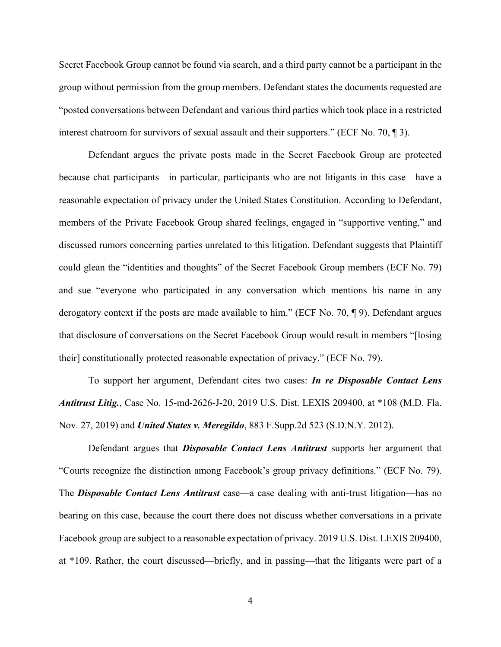Secret Facebook Group cannot be found via search, and a third party cannot be a participant in the group without permission from the group members. Defendant states the documents requested are "posted conversations between Defendant and various third parties which took place in a restricted interest chatroom for survivors of sexual assault and their supporters." (ECF No. 70, ¶ 3).

Defendant argues the private posts made in the Secret Facebook Group are protected because chat participants—in particular, participants who are not litigants in this case—have a reasonable expectation of privacy under the United States Constitution. According to Defendant, members of the Private Facebook Group shared feelings, engaged in "supportive venting," and discussed rumors concerning parties unrelated to this litigation. Defendant suggests that Plaintiff could glean the "identities and thoughts" of the Secret Facebook Group members (ECF No. 79) and sue "everyone who participated in any conversation which mentions his name in any derogatory context if the posts are made available to him." (ECF No. 70, ¶ 9). Defendant argues that disclosure of conversations on the Secret Facebook Group would result in members "[losing their] constitutionally protected reasonable expectation of privacy." (ECF No. 79).

To support her argument, Defendant cites two cases: *In re Disposable Contact Lens Antitrust Litig.*, Case No. 15-md-2626-J-20, 2019 U.S. Dist. LEXIS 209400, at \*108 (M.D. Fla. Nov. 27, 2019) and *United States v. Meregildo*, 883 F.Supp.2d 523 (S.D.N.Y. 2012).

Defendant argues that *Disposable Contact Lens Antitrust* supports her argument that "Courts recognize the distinction among Facebook's group privacy definitions." (ECF No. 79). The *Disposable Contact Lens Antitrust* case—a case dealing with anti-trust litigation—has no bearing on this case, because the court there does not discuss whether conversations in a private Facebook group are subject to a reasonable expectation of privacy. 2019 U.S. Dist. LEXIS 209400, at \*109. Rather, the court discussed—briefly, and in passing—that the litigants were part of a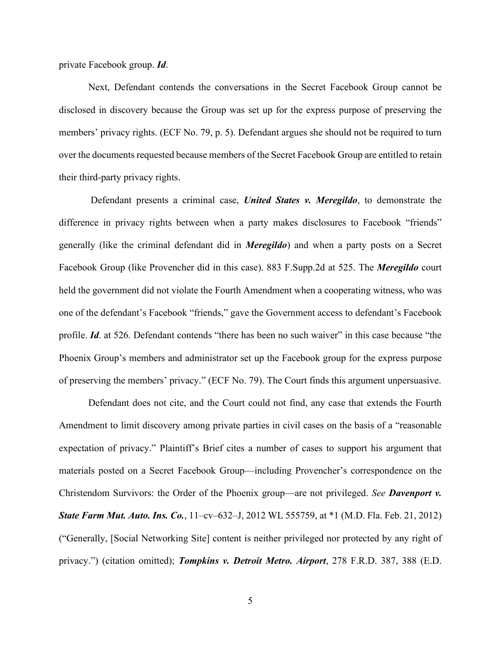private Facebook group. *Id*.

Next, Defendant contends the conversations in the Secret Facebook Group cannot be disclosed in discovery because the Group was set up for the express purpose of preserving the members' privacy rights. (ECF No. 79, p. 5). Defendant argues she should not be required to turn over the documents requested because members of the Secret Facebook Group are entitled to retain their third-party privacy rights.

Defendant presents a criminal case, *United States v. Meregildo*, to demonstrate the difference in privacy rights between when a party makes disclosures to Facebook "friends" generally (like the criminal defendant did in *Meregildo*) and when a party posts on a Secret Facebook Group (like Provencher did in this case). 883 F.Supp.2d at 525. The *Meregildo* court held the government did not violate the Fourth Amendment when a cooperating witness, who was one of the defendant's Facebook "friends," gave the Government access to defendant's Facebook profile. *Id*. at 526. Defendant contends "there has been no such waiver" in this case because "the Phoenix Group's members and administrator set up the Facebook group for the express purpose of preserving the members' privacy." (ECF No. 79). The Court finds this argument unpersuasive.

Defendant does not cite, and the Court could not find, any case that extends the Fourth Amendment to limit discovery among private parties in civil cases on the basis of a "reasonable expectation of privacy." Plaintiff's Brief cites a number of cases to support his argument that materials posted on a Secret Facebook Group—including Provencher's correspondence on the Christendom Survivors: the Order of the Phoenix group—are not privileged. *See Davenport v. State Farm Mut. Auto. Ins. Co.*, 11–cv–632–J, 2012 WL 555759, at \*1 (M.D. Fla. Feb. 21, 2012) ("Generally, [Social Networking Site] content is neither privileged nor protected by any right of privacy.") (citation omitted); *Tompkins v. Detroit Metro. Airport*, 278 F.R.D. 387, 388 (E.D.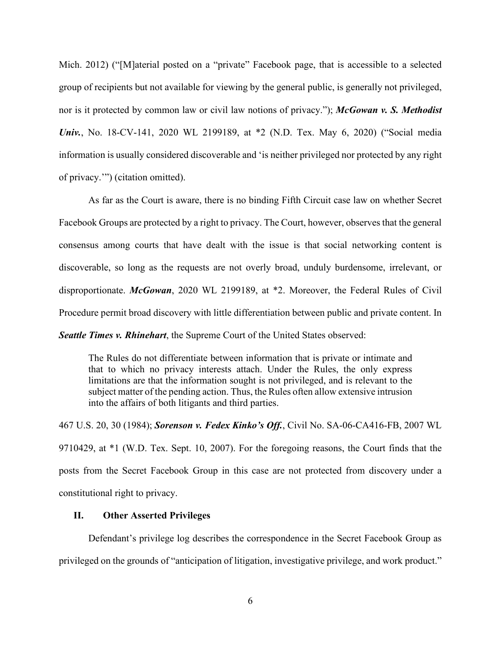Mich. 2012) ("[M]aterial posted on a "private" Facebook page, that is accessible to a selected group of recipients but not available for viewing by the general public, is generally not privileged, nor is it protected by common law or civil law notions of privacy."); *McGowan v. S. Methodist Univ.*, No. 18-CV-141, 2020 WL 2199189, at \*2 (N.D. Tex. May 6, 2020) ("Social media information is usually considered discoverable and 'is neither privileged nor protected by any right of privacy.'") (citation omitted).

As far as the Court is aware, there is no binding Fifth Circuit case law on whether Secret Facebook Groups are protected by a right to privacy. The Court, however, observes that the general consensus among courts that have dealt with the issue is that social networking content is discoverable, so long as the requests are not overly broad, unduly burdensome, irrelevant, or disproportionate. *McGowan*, 2020 WL 2199189, at \*2. Moreover, the Federal Rules of Civil Procedure permit broad discovery with little differentiation between public and private content. In

*Seattle Times v. Rhinehart*, the Supreme Court of the United States observed:

The Rules do not differentiate between information that is private or intimate and that to which no privacy interests attach. Under the Rules, the only express limitations are that the information sought is not privileged, and is relevant to the subject matter of the pending action. Thus, the Rules often allow extensive intrusion into the affairs of both litigants and third parties.

467 U.S. 20, 30 (1984); *Sorenson v. Fedex Kinko's Off.*, Civil No. SA-06-CA416-FB, 2007 WL 9710429, at \*1 (W.D. Tex. Sept. 10, 2007). For the foregoing reasons, the Court finds that the posts from the Secret Facebook Group in this case are not protected from discovery under a constitutional right to privacy.

## **II. Other Asserted Privileges**

Defendant's privilege log describes the correspondence in the Secret Facebook Group as privileged on the grounds of "anticipation of litigation, investigative privilege, and work product."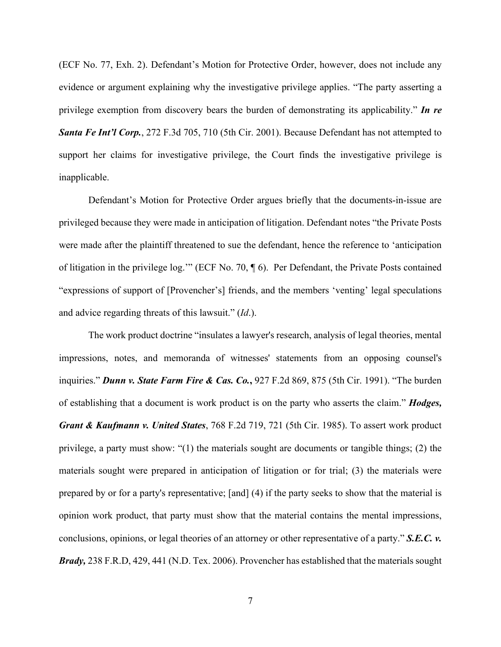(ECF No. 77, Exh. 2). Defendant's Motion for Protective Order, however, does not include any evidence or argument explaining why the investigative privilege applies. "The party asserting a privilege exemption from discovery bears the burden of demonstrating its applicability." *In re Santa Fe Int'l Corp.*, 272 F.3d 705, 710 (5th Cir. 2001). Because Defendant has not attempted to support her claims for investigative privilege, the Court finds the investigative privilege is inapplicable.

Defendant's Motion for Protective Order argues briefly that the documents-in-issue are privileged because they were made in anticipation of litigation. Defendant notes "the Private Posts were made after the plaintiff threatened to sue the defendant, hence the reference to 'anticipation of litigation in the privilege log.'" (ECF No. 70, ¶ 6). Per Defendant, the Private Posts contained "expressions of support of [Provencher's] friends, and the members 'venting' legal speculations and advice regarding threats of this lawsuit." (*Id*.).

The work product doctrine "insulates a lawyer's research, analysis of legal theories, mental impressions, notes, and memoranda of witnesses' statements from an opposing counsel's inquiries." *Dunn v. State Farm Fire & Cas. Co.***,** 927 F.2d 869, 875 (5th Cir. 1991). "The burden of establishing that a document is work product is on the party who asserts the claim." *Hodges, Grant & Kaufmann v. United States*, 768 F.2d 719, 721 (5th Cir. 1985). To assert work product privilege, a party must show: "(1) the materials sought are documents or tangible things; (2) the materials sought were prepared in anticipation of litigation or for trial; (3) the materials were prepared by or for a party's representative; [and] (4) if the party seeks to show that the material is opinion work product, that party must show that the material contains the mental impressions, conclusions, opinions, or legal theories of an attorney or other representative of a party." *S.E.C. v. Brady,* 238 F.R.D, 429, 441 (N.D. Tex. 2006). Provencher has established that the materials sought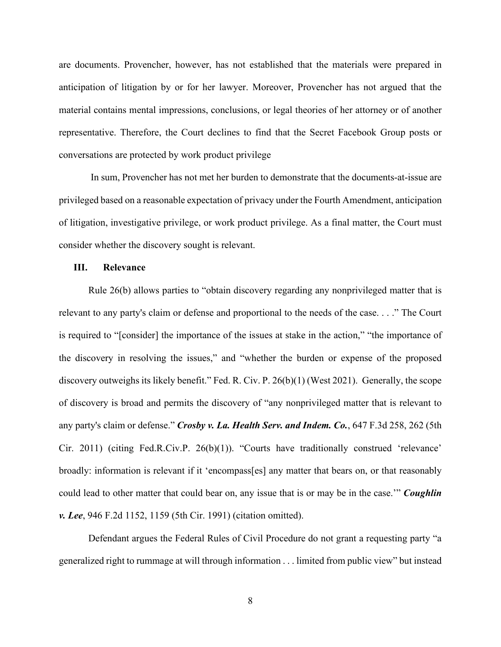are documents. Provencher, however, has not established that the materials were prepared in anticipation of litigation by or for her lawyer. Moreover, Provencher has not argued that the material contains mental impressions, conclusions, or legal theories of her attorney or of another representative. Therefore, the Court declines to find that the Secret Facebook Group posts or conversations are protected by work product privilege

In sum, Provencher has not met her burden to demonstrate that the documents-at-issue are privileged based on a reasonable expectation of privacy under the Fourth Amendment, anticipation of litigation, investigative privilege, or work product privilege. As a final matter, the Court must consider whether the discovery sought is relevant.

## **III. Relevance**

Rule 26(b) allows parties to "obtain discovery regarding any nonprivileged matter that is relevant to any party's claim or defense and proportional to the needs of the case. . . ." The Court is required to "[consider] the importance of the issues at stake in the action," "the importance of the discovery in resolving the issues," and "whether the burden or expense of the proposed discovery outweighs its likely benefit." Fed. R. Civ. P. 26(b)(1) (West 2021). Generally, the scope of discovery is broad and permits the discovery of "any nonprivileged matter that is relevant to any party's claim or defense." *Crosby v. La. Health Serv. and Indem. Co.*, 647 F.3d 258, 262 (5th Cir. 2011) (citing [Fed.R.Civ.P.](https://1.next.westlaw.com/Link/Document/FullText?findType=L&pubNum=1000600&cite=USFRCPR26&originatingDoc=Ieb583706b23611e08bbeb4ca0e5b8ed9&refType=RB&originationContext=document&transitionType=DocumentItem&contextData=(sc.UserEnteredCitation)#co_pp_3fed000053a85) 26(b)(1)). "Courts have traditionally construed 'relevance' broadly: information is relevant if it 'encompass[es] any matter that bears on, or that reasonably could lead to other matter that could bear on, any issue that is or may be in the case.'" *Coughlin v. Lee*, 946 F.2d 1152, 1159 (5th Cir. 1991) (citation omitted).

Defendant argues the Federal Rules of Civil Procedure do not grant a requesting party "a generalized right to rummage at will through information . . . limited from public view" but instead